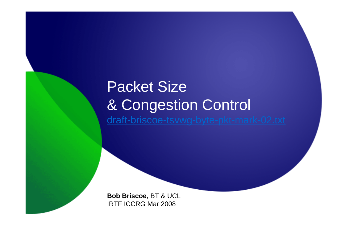# Packet Size & Congestion Control draft-briscoe-tsvwg-byte-pkt-mark-02.txt

**Bob Briscoe**, BT & UCLIRTF ICCRG Mar 2008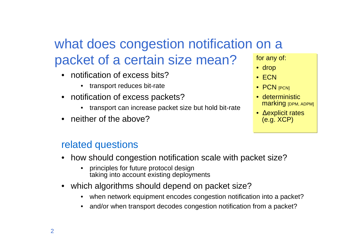# what does congestion notification on a packet of a certain size mean?

- • notification of excess bits?
	- transport reduces bit-rate
- notification of excess packets?
	- transport can increase packet size but hold bit-rate•
- neither of the above?

#### related questions

- how should congestion notification scale with packet size?
	- • principles for future protocol designtaking into account existing deployments
- which algorithms should depend on packet size?
	- when network equipment encodes congestion notification into a packet?
	- •and/or when transport decodes congestion notification from a packet?

for any of:

- drop
- ECN
- PCN [PCN]
- deterministic **marking** [DPM, ADPM]
- <sup>∆</sup>explicit rates(e.g. XCP)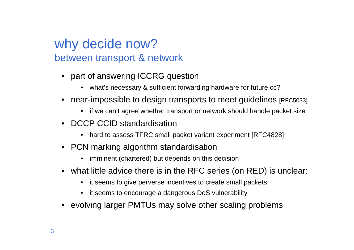### why decide now?between transport & network

- part of answering ICCRG question
	- what's necessary & sufficient forwarding hardware for future cc?
- $\bullet~$  near-impossible to design transports to meet guidelines  $_{\rm [RFC5033]}$ 
	- if we can't agree whether transport or network should handle packet size
- DCCP CCID standardisation
	- hard to assess TFRC small packet variant experiment [RFC4828]
- PCN marking algorithm standardisation
	- •imminent (chartered) but depends on this decision
- what little advice there is in the RFC series (on RED) is unclear:
	- •it seems to give perverse incentives to create small packets
	- $\bullet$ it seems to encourage a dangerous DoS vulnerability
- •evolving larger PMTUs may solve other scaling problems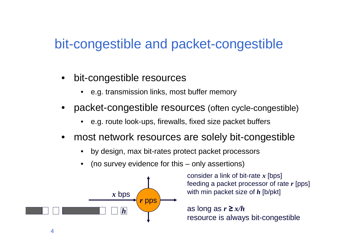## bit-congestible and packet-congestible

- • bit-congestible resources
	- •e.g. transmission links, most buffer memory
- • packet-congestible resources (often cycle-congestible)
	- •e.g. route look-ups, firewalls, fixed size packet buffers
- • most network resources are solely bit-congestible
	- •by design, max bit-rates protect packet processors
	- •(no survey evidence for this – only assertions)



consider a link of bit-rate *x* [bps] feeding a packet processor of rate *r* [pps] with min packet size of *h* [b/pkt]

as long as *r* ≥ *x/h*resource is always bit-congestible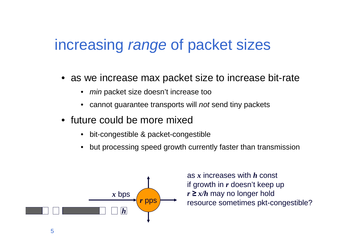# increasing range of packet sizes

- as we increase max packet size to increase bit-rate
	- min packet size doesn't increase too
	- cannot guarantee transports will not send tiny packets
- future could be more mixed
	- •bit-congestible & packet-congestible
	- •but processing speed growth currently faster than transmission



as *x* increases with *<sup>h</sup>* const if growth in *r* doesn't keep up*r* ≥ *x/h* may no longer hold resource sometimes pkt-congestible?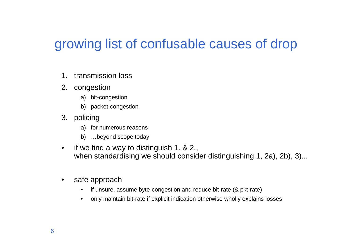# growing list of confusable causes of drop

- 1. transmission loss
- 2. congestion
	- a) bit-congestion
	- b) packet-congestion
- 3. policing
	- a) for numerous reasons
	- b) …beyond scope today
- $\bullet$  if we find a way to distinguish 1. & 2., when standardising we should consider distinguishing 1, 2a), 2b), 3)...
- $\bullet$  safe approach
	- if unsure, assume byte-congestion and reduce bit-rate (& pkt-rate) $\bullet$
	- $\bullet$ only maintain bit-rate if explicit indication otherwise wholly explains losses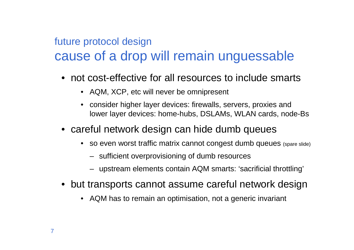## future protocol designcause of a drop will remain unguessable

- not cost-effective for all resources to include smarts
	- AQM, XCP, etc will never be omnipresent
	- consider higher layer devices: firewalls, servers, proxies andlower layer devices: home-hubs, DSLAMs, WLAN cards, node-Bs
- careful network design can hide dumb queues
	- so even worst traffic matrix cannot congest dumb queues (spare slide)
		- sufficient overprovisioning of dumb resources
		- upstream elements contain AQM smarts: 'sacrificial throttling'
- but transports cannot assume careful network design
	- AQM has to remain an optimisation, not a generic invariant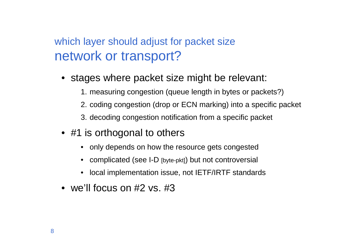#### which layer should adjust for packet sizenetwork or transport?

- stages where packet size might be relevant:
	- 1. measuring congestion (queue length in bytes or packets?)
	- 2. coding congestion (drop or ECN marking) into a specific packet
	- 3. decoding congestion notification from a specific packet
- #1 is orthogonal to others
	- only depends on how the resource gets congested
	- complicated (see I-D [byte-pkt]) but not controversial
	- local implementation issue, not IETF/IRTF standards
- we'll focus on #2 vs. #3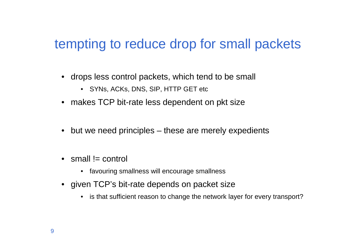## tempting to reduce drop for small packets

- drops less control packets, which tend to be small
	- SYNs, ACKs, DNS, SIP, HTTP GET etc
- makes TCP bit-rate less dependent on pkt size
- but we need principles these are merely expedients
- $\bullet\;$  small != control
	- favouring smallness will encourage smallness
- given TCP's bit-rate depends on packet size
	- is that sufficient reason to change the network layer for every transport?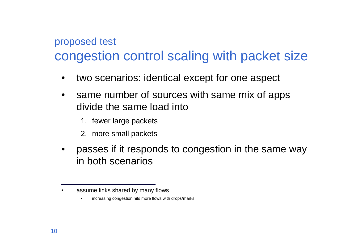### proposed testcongestion control scaling with packet size

- •two scenarios: identical except for one aspect
- • same number of sources with same mix of apps divide the same load into
	- 1. fewer large packets
	- 2. more small packets
- • passes if it responds to congestion in the same way in both scenarios

<sup>•</sup>assume links shared by many flows

<sup>•</sup>increasing congestion hits more flows with drops/marks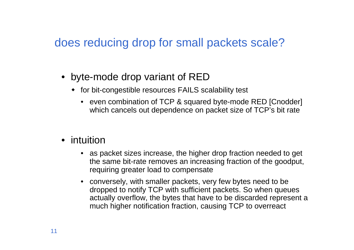#### does reducing drop for small packets scale?

- byte-mode drop variant of RED
	- for bit-congestible resources FAILS scalability test
		- even combination of TCP & squared byte-mode RED [Cnodder] which cancels out dependence on packet size of TCP's bit rate
- intuition
	- as packet sizes increase, the higher drop fraction needed to get the same bit-rate removes an increasing fraction of the goodput, requiring greater load to compensate
	- conversely, with smaller packets, very few bytes need to be dropped to notify TCP with sufficient packets. So when queues actually overflow, the bytes that have to be discarded represent <sup>a</sup> much higher notification fraction, causing TCP to overreact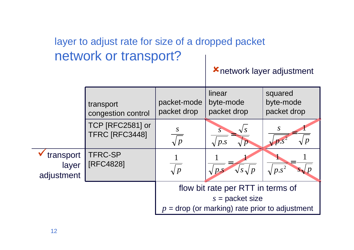#### layer to adjust rate for size of a dropped packetnetwork or transport?

#### network layer adjustment

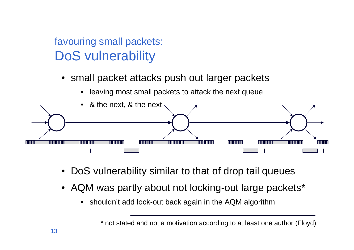### favouring small packets:DoS vulnerability

• small packet attacks push out larger packets





- DoS vulnerability similar to that of drop tail queues
- AQM was partly about not locking-out large packets\*
	- $\bullet$ shouldn't add lock-out back again in the AQM algorithm

<sup>\*</sup> not stated and not a motivation according to at least one author (Floyd)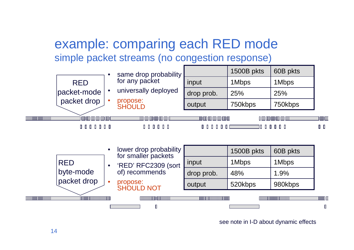### example: comparing each RED modesimple packet streams (no congestion response)



see note in I-D about dynamic effects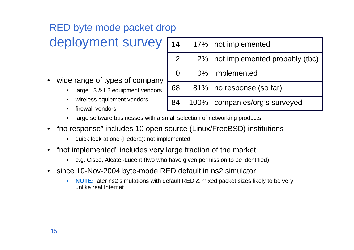## RED byte mode packet drop

## deployment survey

- • wide range of types of company
	- large L3 & L2 equipment vendors•
	- •wireless equipment vendors
	- •firewall vendors

| 14             |         | 17%   not implemented          |
|----------------|---------|--------------------------------|
| $\overline{2}$ | $2\%$   | not implemented probably (tbc) |
| 0              |         | 0%   implemented               |
| 68             |         | 81%   no response (so far)     |
| 84             | $100\%$ | companies/org's surveyed       |

- large software businesses with a small selection of networking products •
- • "no response" includes 10 open source (Linux/FreeBSD) institutions
	- quick look at one (Fedora): not implemented
- • "not implemented" includes very large fraction of the market
	- •e.g. Cisco, Alcatel-Lucent (two who have given permission to be identified)
- • since 10-Nov-2004 byte-mode RED default in ns2 simulator
	- • **NOTE:** later ns2 simulations with default RED & mixed packet sizes likely to be very unlike real Internet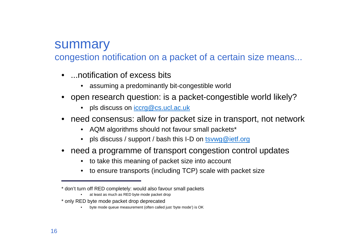#### summary

congestion notification on a packet of a certain size means...

- ...notification of excess bits
	- assuming a predominantly bit-congestible world
- open research question: is a packet-congestible world likely?
	- pls discuss on <u>iccrg@cs.ucl.ac.uk</u>
- need consensus: allow for packet size in transport, not network
	- AQM algorithms should not favour small packets\*
	- pls discuss / support / bash this I-D on <u>tsvwg@ietf.org</u>
- need a programme of transport congestion control updates
	- to take this meaning of packet size into account
	- to ensure transports (including TCP) scale with packet size

<sup>\*</sup> don't turn off RED completely: would also favour small packets

<sup>•</sup>at least as much as RED byte mode packet drop

<sup>\*</sup> only RED byte mode packet drop deprecated

 byte mode queue measurement (often called just 'byte mode') is OK•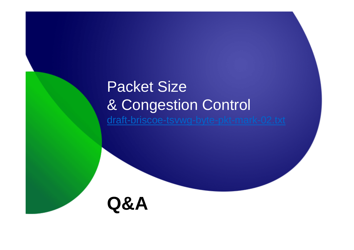# Packet Size & Congestion Control draft-briscoe-tsvwg-byte-pkt-mark-02.txt

**Q&A**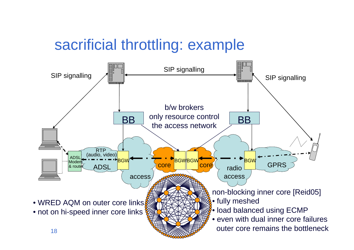# sacrificial throttling: example